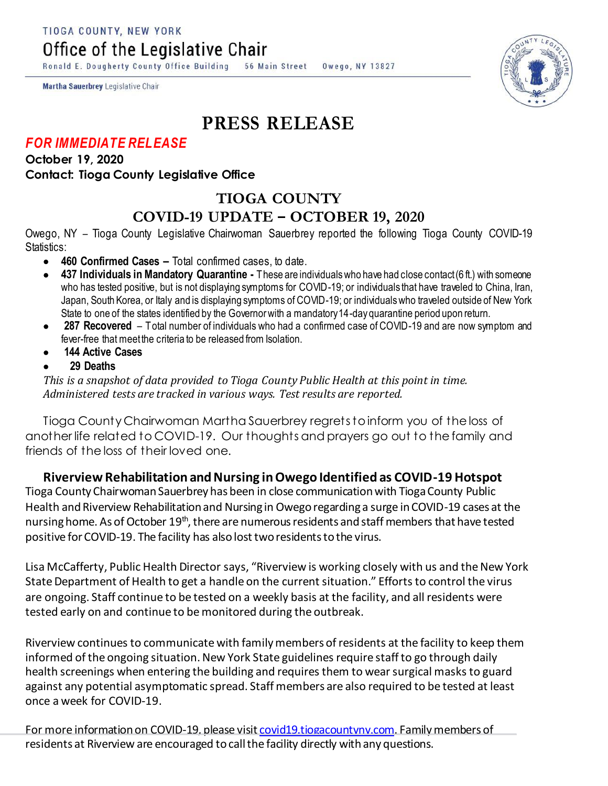TIOGA COUNTY, NEW YORK

Office of the Legislative Chair

Ronald E. Dougherty County Office Building 56 Main Street Owego, NY 13827

Martha Sauerbrey Legislative Chair

## **PRESS RELEASE**

## *FOR IMMEDIATE RELEASE*

**October 19, 2020 Contact: Tioga County Legislative Office**

## **TIOGA COUNTY COVID-19 UPDATE – OCTOBER 19, 2020**

Owego, NY – Tioga County Legislative Chairwoman Sauerbrey reported the following Tioga County COVID-19 Statistics:

- **460 Confirmed Cases –** Total confirmed cases, to date.
- **437 Individuals in Mandatory Quarantine -** These are individuals who have had close contact (6 ft.) with someone who has tested positive, but is not displaying symptoms for COVID-19; or individuals that have traveled to China, Iran, Japan, South Korea, or Italy and is displaying symptoms of COVID-19; or individuals who traveled outside of New York State to one of the states identified by the Governor with a mandatory 14-day quarantine period upon return.
- **287 Recovered**  Total number of individuals who had a confirmed case of COVID-19 and are now symptom and fever-free that meet the criteria to be released from Isolation.
- **144 Active Cases**
- **29 Deaths**

*This is a snapshot of data provided to Tioga County Public Health at this point in time. Administered tests are tracked in various ways. Test results are reported.*

Tioga County Chairwoman Martha Sauerbrey regrets to inform you of the loss of another life related to COVID-19. Our thoughts and prayers go out to the family and friends of the loss of their loved one.

## **Riverview Rehabilitation and Nursing in Owego Identified as COVID-19 Hotspot**

Tioga County ChairwomanSauerbrey has been in close communication with Tioga County Public Health and Riverview Rehabilitation and Nursing in Owego regarding a surge in COVID-19 cases at the nursing home. As of October 19<sup>th</sup>, there are numerous residents and staff members that have tested positive for COVID-19. The facility has also lost two residents to the virus.

Lisa McCafferty, Public Health Director says, "Riverview is working closely with us and the New York State Department of Health to get a handle on the current situation." Efforts to control the virus are ongoing. Staff continue to be tested on a weekly basis at the facility, and all residents were tested early on and continue to be monitored during the outbreak.

Riverview continues to communicate with family members of residents at the facility to keep them informed of the ongoing situation. New York State guidelines require staff to go through daily health screenings when entering the building and requires them to wear surgical masks to guard against any potential asymptomatic spread. Staff members are also required to be tested at least once a week for COVID-19.

For more information on COVID-19, please visi[t covid19.tiogacountyny.com](http://covid19.tiogacountyny.com/). Family members of residents at Riverview are encouraged to call the facility directly with any questions.